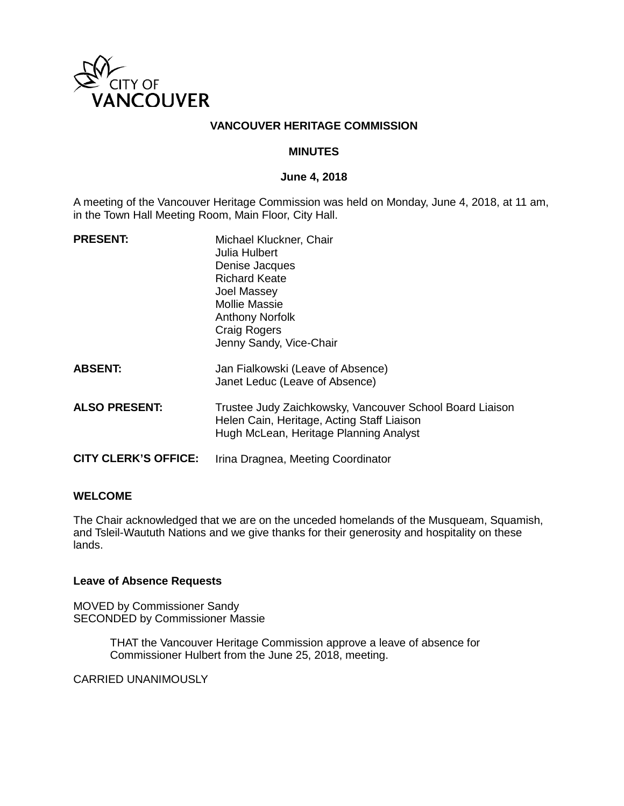

## **VANCOUVER HERITAGE COMMISSION**

## **MINUTES**

## **June 4, 2018**

A meeting of the Vancouver Heritage Commission was held on Monday, June 4, 2018, at 11 am, in the Town Hall Meeting Room, Main Floor, City Hall.

| <b>PRESENT:</b>             | Michael Kluckner, Chair<br>Julia Hulbert<br>Denise Jacques<br><b>Richard Keate</b><br>Joel Massey<br>Mollie Massie<br><b>Anthony Norfolk</b><br><b>Craig Rogers</b><br>Jenny Sandy, Vice-Chair |
|-----------------------------|------------------------------------------------------------------------------------------------------------------------------------------------------------------------------------------------|
| <b>ABSENT:</b>              | Jan Fialkowski (Leave of Absence)<br>Janet Leduc (Leave of Absence)                                                                                                                            |
| <b>ALSO PRESENT:</b>        | Trustee Judy Zaichkowsky, Vancouver School Board Liaison<br>Helen Cain, Heritage, Acting Staff Liaison<br>Hugh McLean, Heritage Planning Analyst                                               |
| <b>CITY CLERK'S OFFICE:</b> | Irina Dragnea, Meeting Coordinator                                                                                                                                                             |

## **WELCOME**

The Chair acknowledged that we are on the unceded homelands of the Musqueam, Squamish, and Tsleil-Waututh Nations and we give thanks for their generosity and hospitality on these lands.

#### **Leave of Absence Requests**

MOVED by Commissioner Sandy SECONDED by Commissioner Massie

> THAT the Vancouver Heritage Commission approve a leave of absence for Commissioner Hulbert from the June 25, 2018, meeting.

CARRIED UNANIMOUSLY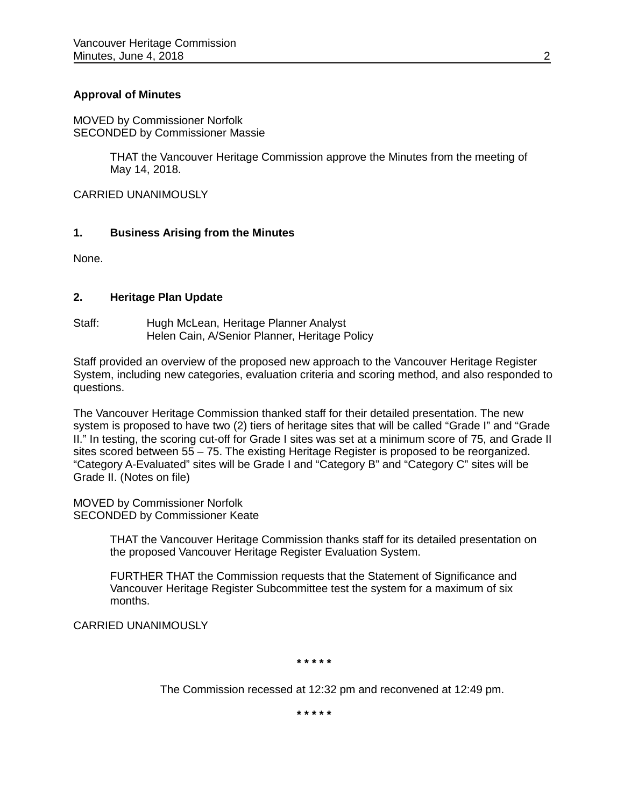## **Approval of Minutes**

MOVED by Commissioner Norfolk SECONDED by Commissioner Massie

> THAT the Vancouver Heritage Commission approve the Minutes from the meeting of May 14, 2018.

CARRIED UNANIMOUSLY

#### **1. Business Arising from the Minutes**

None.

#### **2. Heritage Plan Update**

Staff: Hugh McLean, Heritage Planner Analyst Helen Cain, A/Senior Planner, Heritage Policy

Staff provided an overview of the proposed new approach to the Vancouver Heritage Register System, including new categories, evaluation criteria and scoring method, and also responded to questions.

The Vancouver Heritage Commission thanked staff for their detailed presentation. The new system is proposed to have two (2) tiers of heritage sites that will be called "Grade I" and "Grade II." In testing, the scoring cut-off for Grade I sites was set at a minimum score of 75, and Grade II sites scored between 55 – 75. The existing Heritage Register is proposed to be reorganized. "Category A-Evaluated" sites will be Grade I and "Category B" and "Category C" sites will be Grade II. (Notes on file)

MOVED by Commissioner Norfolk SECONDED by Commissioner Keate

> THAT the Vancouver Heritage Commission thanks staff for its detailed presentation on the proposed Vancouver Heritage Register Evaluation System.

FURTHER THAT the Commission requests that the Statement of Significance and Vancouver Heritage Register Subcommittee test the system for a maximum of six months.

CARRIED UNANIMOUSLY

**\* \* \* \* \***

The Commission recessed at 12:32 pm and reconvened at 12:49 pm.

**\* \* \* \* \***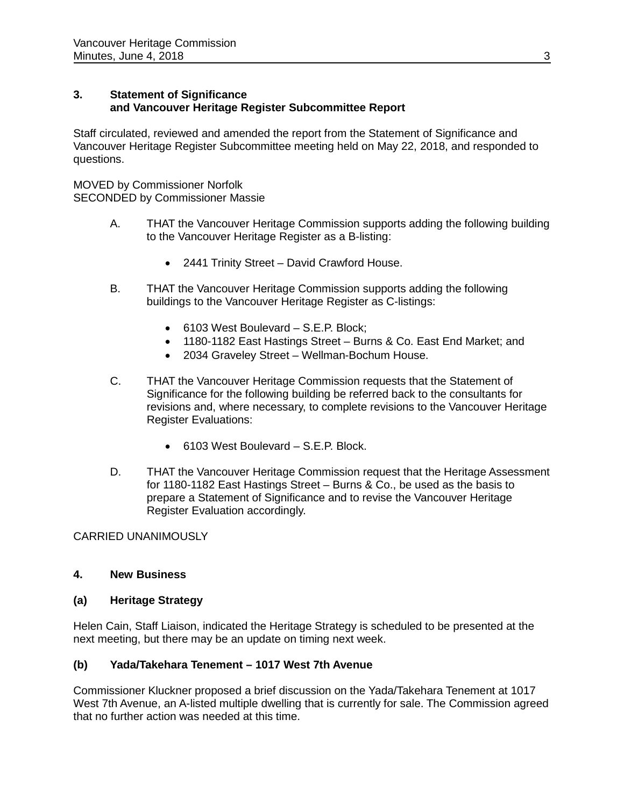## **3. Statement of Significance and Vancouver Heritage Register Subcommittee Report**

Staff circulated, reviewed and amended the report from the Statement of Significance and Vancouver Heritage Register Subcommittee meeting held on May 22, 2018, and responded to questions.

MOVED by Commissioner Norfolk SECONDED by Commissioner Massie

- A. THAT the Vancouver Heritage Commission supports adding the following building to the Vancouver Heritage Register as a B-listing:
	- 2441 Trinity Street David Crawford House.
- B. THAT the Vancouver Heritage Commission supports adding the following buildings to the Vancouver Heritage Register as C-listings:
	- 6103 West Boulevard S.E.P. Block;
	- 1180-1182 East Hastings Street Burns & Co. East End Market; and
	- 2034 Graveley Street Wellman-Bochum House.
- C. THAT the Vancouver Heritage Commission requests that the Statement of Significance for the following building be referred back to the consultants for revisions and, where necessary, to complete revisions to the Vancouver Heritage Register Evaluations:
	- 6103 West Boulevard S.E.P. Block.
- D. THAT the Vancouver Heritage Commission request that the Heritage Assessment for 1180-1182 East Hastings Street – Burns & Co., be used as the basis to prepare a Statement of Significance and to revise the Vancouver Heritage Register Evaluation accordingly.

CARRIED UNANIMOUSLY

# **4. New Business**

# **(a) Heritage Strategy**

Helen Cain, Staff Liaison, indicated the Heritage Strategy is scheduled to be presented at the next meeting, but there may be an update on timing next week.

# **(b) Yada/Takehara Tenement – 1017 West 7th Avenue**

Commissioner Kluckner proposed a brief discussion on the Yada/Takehara Tenement at 1017 West 7th Avenue, an A-listed multiple dwelling that is currently for sale. The Commission agreed that no further action was needed at this time.